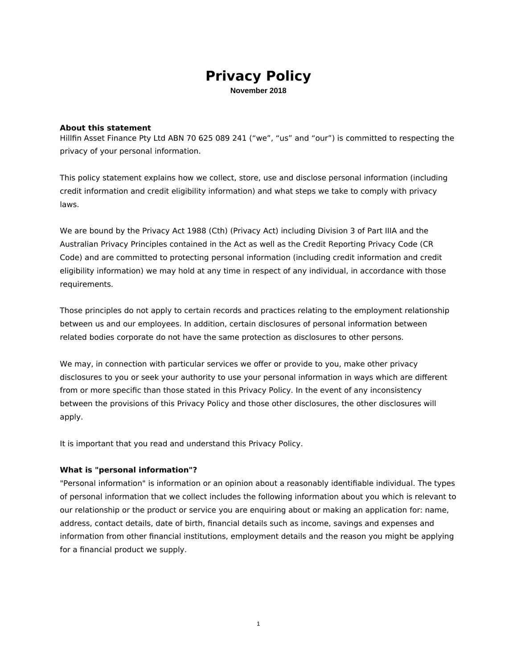# **Privacy Policy**

November 2018

#### **About this statement**

Hillfin Asset Finance Pty Ltd ABN 70 625 089 241 ("we", "us" and "our") is committed to respecting the privacy of your personal information.

This policy statement explains how we collect, store, use and disclose personal information (including credit information and credit eligibility information) and what steps we take to comply with privacy laws.

We are bound by the Privacy Act 1988 (Cth) (Privacy Act) including Division 3 of Part IIIA and the Australian Privacy Principles contained in the Act as well as the Credit Reporting Privacy Code (CR Code) and are committed to protecting personal information (including credit information and credit eligibility information) we may hold at any time in respect of any individual, in accordance with those requirements.

Those principles do not apply to certain records and practices relating to the employment relationship between us and our employees. In addition, certain disclosures of personal information between related bodies corporate do not have the same protection as disclosures to other persons.

We may, in connection with particular services we offer or provide to you, make other privacy disclosures to you or seek your authority to use your personal information in ways which are different from or more specific than those stated in this Privacy Policy. In the event of any inconsistency between the provisions of this Privacy Policy and those other disclosures, the other disclosures will apply.

It is important that you read and understand this Privacy Policy.

# What is "personal information"?

"Personal information" is information or an opinion about a reasonably identifiable individual. The types of personal information that we collect includes the following information about you which is relevant to our relationship or the product or service you are enquiring about or making an application for: name, address, contact details, date of birth, financial details such as income, savings and expenses and information from other financial institutions, employment details and the reason you might be applying for a financial product we supply.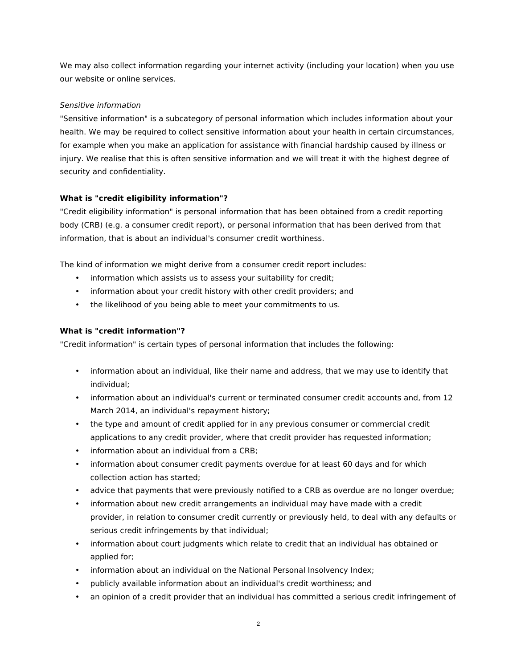We may also collect information regarding your internet activity (including your location) when you use our website or online services.

# Sensitive information

"Sensitive information" is a subcategory of personal information which includes information about your health. We may be required to collect sensitive information about your health in certain circumstances, for example when you make an application for assistance with financial hardship caused by illness or injury. We realise that this is often sensitive information and we will treat it with the highest degree of security and confidentiality.

# What is "credit eligibility information"?

"Credit eligibility information" is personal information that has been obtained from a credit reporting body (CRB) (e.g. a consumer credit report), or personal information that has been derived from that information, that is about an individual's consumer credit worthiness.

The kind of information we might derive from a consumer credit report includes:

- . information which assists us to assess your suitability for credit;
- information about your credit history with other credit providers; and
- the likelihood of you being able to meet your commitments to us.

# What is "credit information"?

"Credit information" is certain types of personal information that includes the following:

- information about an individual, like their name and address, that we may use to identify that individual:
- information about an individual's current or terminated consumer credit accounts and, from 12 March 2014, an individual's repayment history;
- the type and amount of credit applied for in any previous consumer or commercial credit applications to any credit provider, where that credit provider has requested information;
- information about an individual from a CRB;
- information about consumer credit payments overdue for at least 60 days and for which collection action has started:
- advice that payments that were previously notified to a CRB as overdue are no longer overdue;
- information about new credit arrangements an individual may have made with a credit provider, in relation to consumer credit currently or previously held, to deal with any defaults or serious credit infringements by that individual;
- information about court judgments which relate to credit that an individual has obtained or applied for;
- information about an individual on the National Personal Insolvency Index;
- publicly available information about an individual's credit worthiness; and
- an opinion of a credit provider that an individual has committed a serious credit infringement of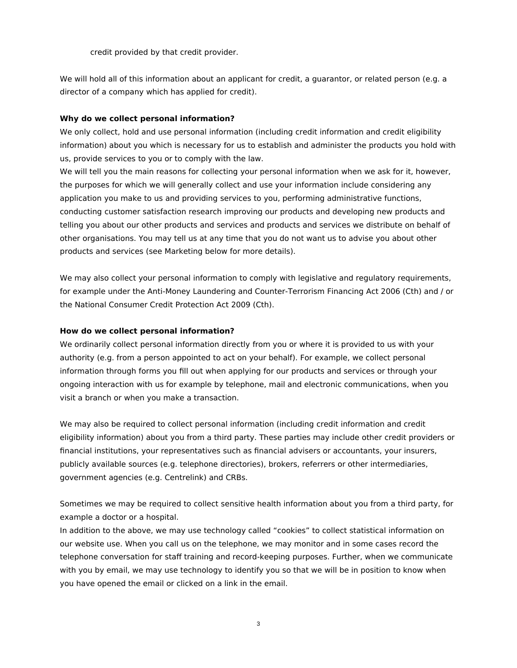credit provided by that credit provider.

We will hold all of this information about an applicant for credit, a guarantor, or related person (e.g. a director of a company which has applied for credit).

#### Why do we collect personal information?

We only collect, hold and use personal information (including credit information and credit eligibility information) about you which is necessary for us to establish and administer the products you hold with us, provide services to you or to comply with the law.

We will tell you the main reasons for collecting your personal information when we ask for it, however, the purposes for which we will generally collect and use your information include considering any application you make to us and providing services to you, performing administrative functions, conducting customer satisfaction research improving our products and developing new products and telling you about our other products and services and products and services we distribute on behalf of other organisations. You may tell us at any time that you do not want us to advise you about other products and services (see Marketing below for more details).

We may also collect your personal information to comply with legislative and regulatory reguirements, for example under the Anti-Money Laundering and Counter-Terrorism Financing Act 2006 (Cth) and / or the National Consumer Credit Protection Act 2009 (Cth).

#### How do we collect personal information?

We ordinarily collect personal information directly from you or where it is provided to us with your authority (e.g. from a person appointed to act on your behalf). For example, we collect personal information through forms you fill out when applying for our products and services or through your ongoing interaction with us for example by telephone, mail and electronic communications, when you visit a branch or when you make a transaction.

We may also be required to collect personal information (including credit information and credit eligibility information) about you from a third party. These parties may include other credit providers or financial institutions, your representatives such as financial advisers or accountants, your insurers, publicly available sources (e.g. telephone directories), brokers, referrers or other intermediaries, government agencies (e.g. Centrelink) and CRBs.

Sometimes we may be required to collect sensitive health information about you from a third party, for example a doctor or a hospital.

In addition to the above, we may use technology called "cookies" to collect statistical information on our website use. When you call us on the telephone, we may monitor and in some cases record the telephone conversation for staff training and record-keeping purposes. Further, when we communicate with you by email, we may use technology to identify you so that we will be in position to know when you have opened the email or clicked on a link in the email.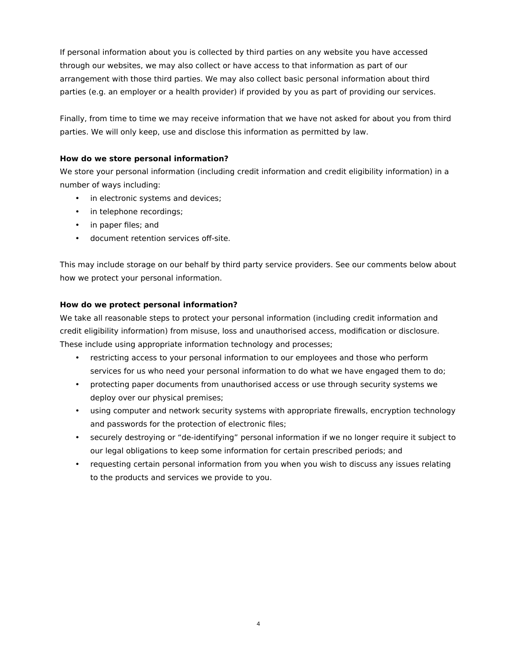If personal information about you is collected by third parties on any website you have accessed through our websites, we may also collect or have access to that information as part of our arrangement with those third parties. We may also collect basic personal information about third parties (e.g. an employer or a health provider) if provided by you as part of providing our services.

Finally, from time to time we may receive information that we have not asked for about you from third parties. We will only keep, use and disclose this information as permitted by law.

# How do we store personal information?

We store your personal information (including credit information and credit eligibility information) in a number of ways including:

- in electronic systems and devices;
- in telephone recordings;
- in paper files; and
- · document retention services off-site.

This may include storage on our behalf by third party service providers. See our comments below about how we protect your personal information.

# How do we protect personal information?

We take all reasonable steps to protect your personal information (including credit information and credit eligibility information) from misuse, loss and unauthorised access, modification or disclosure. These include using appropriate information technology and processes;

- restricting access to your personal information to our employees and those who perform services for us who need your personal information to do what we have engaged them to do;
- protecting paper documents from unauthorised access or use through security systems we deploy over our physical premises;
- using computer and network security systems with appropriate firewalls, encryption technology and passwords for the protection of electronic files;
- securely destroying or "de-identifying" personal information if we no longer require it subject to our legal obligations to keep some information for certain prescribed periods; and
- requesting certain personal information from you when you wish to discuss any issues relating to the products and services we provide to you.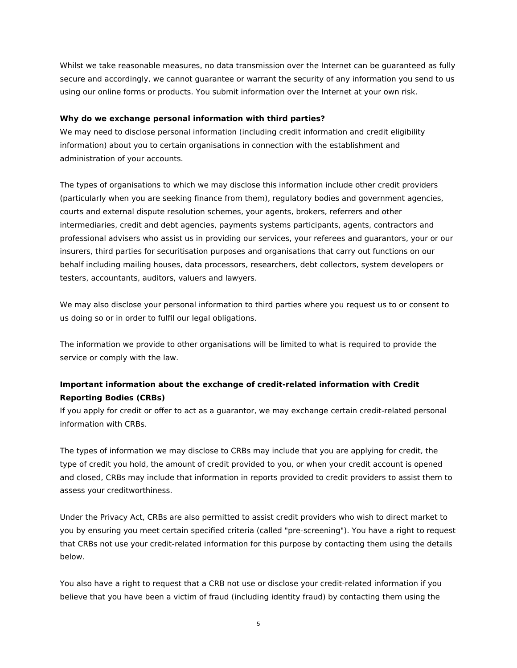Whilst we take reasonable measures, no data transmission over the Internet can be guaranteed as fully secure and accordingly, we cannot guarantee or warrant the security of any information you send to us using our online forms or products. You submit information over the Internet at your own risk.

# Why do we exchange personal information with third parties?

We may need to disclose personal information (including credit information and credit eligibility information) about you to certain organisations in connection with the establishment and administration of your accounts.

The types of organisations to which we may disclose this information include other credit providers (particularly when you are seeking finance from them), regulatory bodies and government agencies, courts and external dispute resolution schemes, your agents, brokers, referrers and other intermediaries, credit and debt agencies, payments systems participants, agents, contractors and professional advisers who assist us in providing our services, your referees and quarantors, your or our insurers, third parties for securitisation purposes and organisations that carry out functions on our behalf including mailing houses, data processors, researchers, debt collectors, system developers or testers, accountants, auditors, valuers and lawyers.

We may also disclose your personal information to third parties where you request us to or consent to us doing so or in order to fulfil our legal obligations.

The information we provide to other organisations will be limited to what is required to provide the service or comply with the law.

# Important information about the exchange of credit-related information with Credit **Reporting Bodies (CRBs)**

If you apply for credit or offer to act as a quarantor, we may exchange certain credit-related personal information with CRBs.

The types of information we may disclose to CRBs may include that you are applying for credit, the type of credit you hold, the amount of credit provided to you, or when your credit account is opened and closed, CRBs may include that information in reports provided to credit providers to assist them to assess your creditworthiness.

Under the Privacy Act, CRBs are also permitted to assist credit providers who wish to direct market to you by ensuring you meet certain specified criteria (called "pre-screening"). You have a right to request that CRBs not use your credit-related information for this purpose by contacting them using the details below.

You also have a right to request that a CRB not use or disclose your credit-related information if you believe that you have been a victim of fraud (including identity fraud) by contacting them using the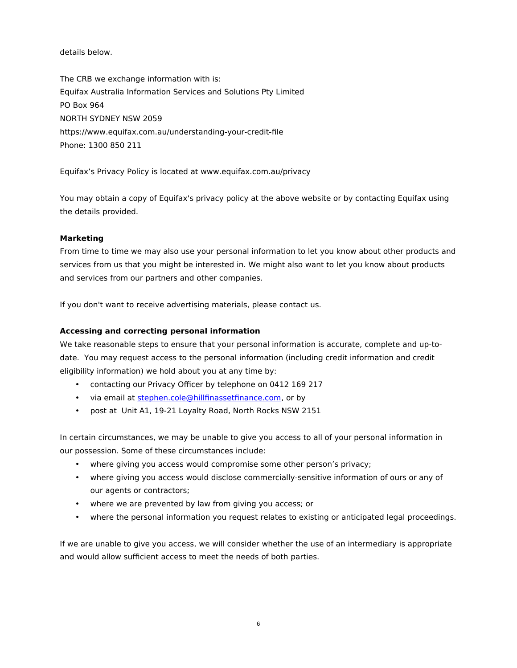details below.

The CRB we exchange information with is: Equifax Australia Information Services and Solutions Pty Limited PO Box 964 **NORTH SYDNEY NSW 2059** https://www.equifax.com.au/understanding-your-credit-file Phone: 1300 850 211

Equifax's Privacy Policy is located at www.equifax.com.au/privacy

You may obtain a copy of Equifax's privacy policy at the above website or by contacting Equifax using the details provided.

# **Marketing**

From time to time we may also use your personal information to let you know about other products and services from us that you might be interested in. We might also want to let you know about products and services from our partners and other companies.

If you don't want to receive advertising materials, please contact us.

# Accessing and correcting personal information

We take reasonable steps to ensure that your personal information is accurate, complete and up-todate. You may request access to the personal information (including credit information and credit eligibility information) we hold about you at any time by:

- contacting our Privacy Officer by telephone on 0412 169 217
- · via email at stephen.cole@hillfinassetfinance.com, or by
- post at Unit A1, 19-21 Loyalty Road, North Rocks NSW 2151

In certain circumstances, we may be unable to give you access to all of your personal information in our possession. Some of these circumstances include:

- where giving you access would compromise some other person's privacy;
- where giving you access would disclose commercially-sensitive information of ours or any of our agents or contractors;
- where we are prevented by law from giving you access; or
- where the personal information you request relates to existing or anticipated legal proceedings.

If we are unable to give you access, we will consider whether the use of an intermediary is appropriate and would allow sufficient access to meet the needs of both parties.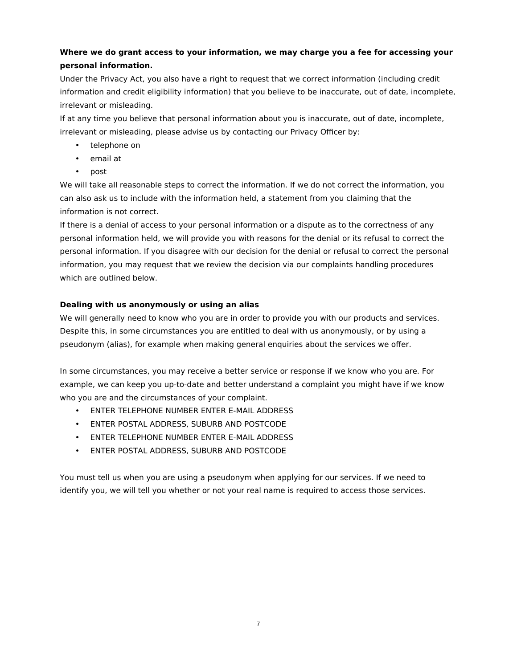# Where we do grant access to your information, we may charge you a fee for accessing your personal information.

Under the Privacy Act, you also have a right to request that we correct information (including credit information and credit eligibility information) that you believe to be inaccurate, out of date, incomplete, irrelevant or misleading.

If at any time you believe that personal information about you is inaccurate, out of date, incomplete, irrelevant or misleading, please advise us by contacting our Privacy Officer by:

- telephone on
- email at
- post

We will take all reasonable steps to correct the information. If we do not correct the information, you can also ask us to include with the information held, a statement from you claiming that the information is not correct.

If there is a denial of access to your personal information or a dispute as to the correctness of any personal information held, we will provide you with reasons for the denial or its refusal to correct the personal information. If you disagree with our decision for the denial or refusal to correct the personal information, you may request that we review the decision via our complaints handling procedures which are outlined below.

# Dealing with us anonymously or using an alias

We will generally need to know who you are in order to provide you with our products and services. Despite this, in some circumstances you are entitled to deal with us anonymously, or by using a pseudonym (alias), for example when making general enguiries about the services we offer.

In some circumstances, you may receive a better service or response if we know who you are. For example, we can keep you up-to-date and better understand a complaint you might have if we know who you are and the circumstances of your complaint.

- ENTER TELEPHONE NUMBER ENTER E-MAIL ADDRESS
- ENTER POSTAL ADDRESS, SUBURB AND POSTCODE
- ENTER TELEPHONE NUMBER ENTER E-MAIL ADDRESS
- ENTER POSTAL ADDRESS, SUBURB AND POSTCODE

You must tell us when you are using a pseudonym when applying for our services. If we need to identify you, we will tell you whether or not your real name is required to access those services.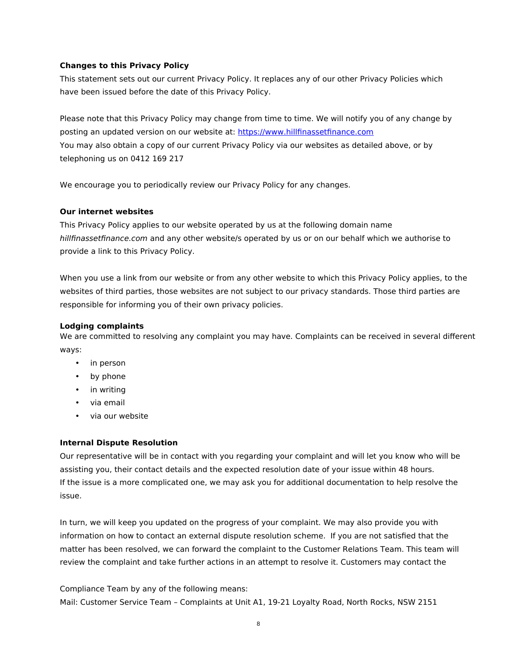#### **Changes to this Privacy Policy**

This statement sets out our current Privacy Policy. It replaces any of our other Privacy Policies which have been issued before the date of this Privacy Policy.

Please note that this Privacy Policy may change from time to time. We will notify you of any change by posting an updated version on our website at: https://www.hillfinassetfinance.com You may also obtain a copy of our current Privacy Policy via our websites as detailed above, or by telephoning us on 0412 169 217

We encourage you to periodically review our Privacy Policy for any changes.

#### **Our internet websites**

This Privacy Policy applies to our website operated by us at the following domain name hillfinassetfinance.com and any other website/s operated by us or on our behalf which we authorise to provide a link to this Privacy Policy.

When you use a link from our website or from any other website to which this Privacy Policy applies, to the websites of third parties, those websites are not subject to our privacy standards. Those third parties are responsible for informing you of their own privacy policies.

# **Lodging complaints**

We are committed to resolving any complaint you may have. Complaints can be received in several different wavs:

- in person
- by phone
- in writing
- via email
- via our website  $\bullet$

#### **Internal Dispute Resolution**

Our representative will be in contact with you regarding your complaint and will let you know who will be assisting you, their contact details and the expected resolution date of your issue within 48 hours. If the issue is a more complicated one, we may ask you for additional documentation to help resolve the issue

In turn, we will keep you updated on the progress of your complaint. We may also provide you with information on how to contact an external dispute resolution scheme. If you are not satisfied that the matter has been resolved, we can forward the complaint to the Customer Relations Team. This team will review the complaint and take further actions in an attempt to resolve it. Customers may contact the

Compliance Team by any of the following means: Mail: Customer Service Team - Complaints at Unit A1, 19-21 Loyalty Road, North Rocks, NSW 2151